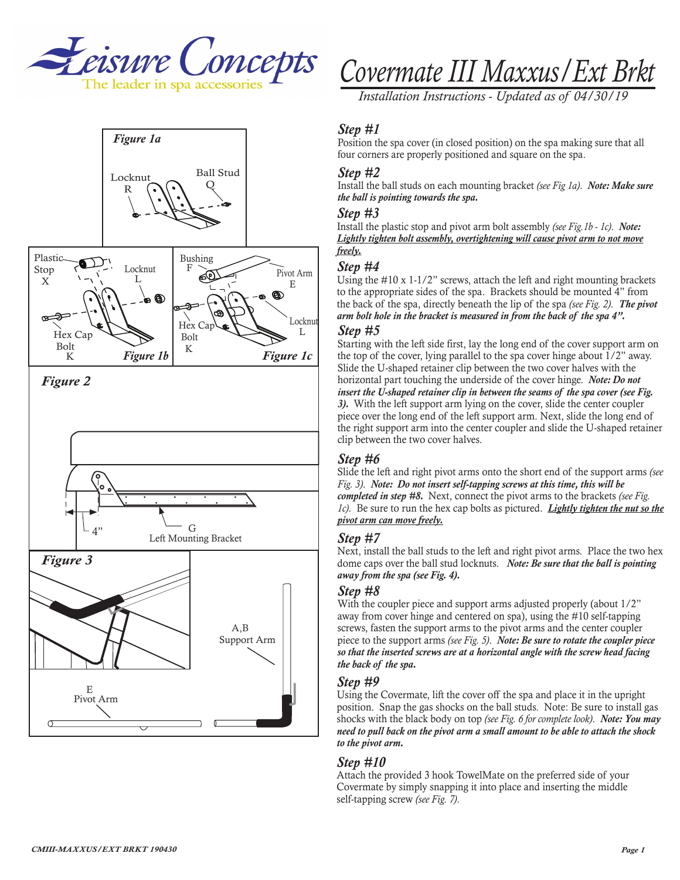



# *Covermate III Maxxus/Ext Brkt*

*Installation Instructions - Updated as of 04/30/19*

#### *Step #1*

Position the spa cover (in closed position) on the spa making sure that all four corners are properly positioned and square on the spa.

#### *Step #2*

Install the ball studs on each mounting bracket *(see Fig 1a)*. *Note: Make sure the ball is pointing towards the spa.*

#### *Step #3*

Install the plastic stop and pivot arm bolt assembly *(see Fig.1b - 1c)*. *Note: Lightly tighten bolt assembly, overtightening will cause pivot arm to not move freely.*

### *Step #4*

Using the #10 x 1-1/2" screws, attach the left and right mounting brackets to the appropriate sides of the spa. Brackets should be mounted 4" from the back of the spa, directly beneath the lip of the spa *(see Fig. 2)*. *The pivot arm bolt hole in the bracket is measured in from the back of the spa 4".*

#### *Step #5*

Starting with the left side first, lay the long end of the cover support arm on the top of the cover, lying parallel to the spa cover hinge about 1/2" away. Slide the U-shaped retainer clip between the two cover halves with the horizontal part touching the underside of the cover hinge. *Note: Do not insert the U-shaped retainer clip in between the seams of the spa cover (see Fig. 3).* With the left support arm lying on the cover, slide the center coupler piece over the long end of the left support arm. Next, slide the long end of the right support arm into the center coupler and slide the U-shaped retainer clip between the two cover halves.

### *Step #6*

Slide the left and right pivot arms onto the short end of the support arms *(see Fig. 3)*. *Note: Do not insert self-tapping screws at this time, this will be completed in step #8.* Next, connect the pivot arms to the brackets *(see Fig. 1c)*. Be sure to run the hex cap bolts as pictured. *Lightly tighten the nut so the pivot arm can move freely.*

#### *Step #7*

Next, install the ball studs to the left and right pivot arms. Place the two hex dome caps over the ball stud locknuts. *Note: Be sure that the ball is pointing away from the spa (see Fig. 4).*

#### *Step #8*

With the coupler piece and support arms adjusted properly (about  $1/2$ " away from cover hinge and centered on spa), using the #10 self-tapping screws, fasten the support arms to the pivot arms and the center coupler piece to the support arms *(see Fig. 5)*. *Note: Be sure to rotate the coupler piece so that the inserted screws are at a horizontal angle with the screw head facing the back of the spa.* 

#### *Step #9*

Using the Covermate, lift the cover off the spa and place it in the upright position. Snap the gas shocks on the ball studs. Note: Be sure to install gas shocks with the black body on top *(see Fig. 6 for complete look)*. *Note: You may need to pull back on the pivot arm a small amount to be able to attach the shock to the pivot arm.*

### *Step #10*

Attach the provided 3 hook TowelMate on the preferred side of your Covermate by simply snapping it into place and inserting the middle self-tapping screw *(see Fig. 7)*.